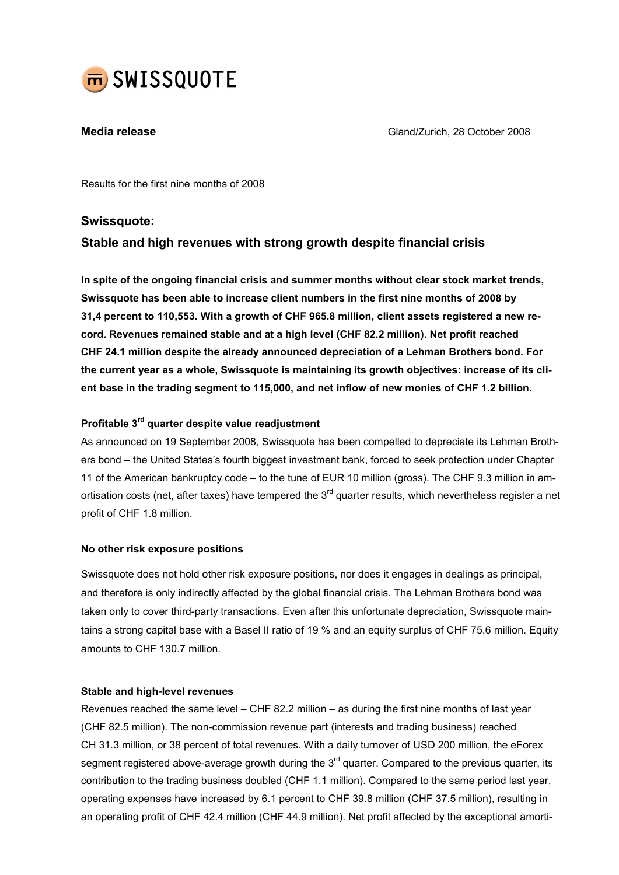

**Media release** Gland/Zurich, 28 October 2008

Results for the first nine months of 2008

## Swissquote:

# Stable and high revenues with strong growth despite financial crisis

In spite of the ongoing financial crisis and summer months without clear stock market trends, Swissquote has been able to increase client numbers in the first nine months of 2008 by 31,4 percent to 110,553. With a growth of CHF 965.8 million, client assets registered a new record. Revenues remained stable and at a high level (CHF 82.2 million). Net profit reached CHF 24.1 million despite the already announced depreciation of a Lehman Brothers bond. For the current year as a whole, Swissquote is maintaining its growth objectives: increase of its client base in the trading segment to 115,000, and net inflow of new monies of CHF 1.2 billion.

## Profitable 3rd quarter despite value readjustment

As announced on 19 September 2008, Swissquote has been compelled to depreciate its Lehman Brothers bond – the United States's fourth biggest investment bank, forced to seek protection under Chapter 11 of the American bankruptcy code – to the tune of EUR 10 million (gross). The CHF 9.3 million in amortisation costs (net, after taxes) have tempered the 3<sup>rd</sup> quarter results, which nevertheless register a net profit of CHF 1.8 million.

## No other risk exposure positions

Swissquote does not hold other risk exposure positions, nor does it engages in dealings as principal, and therefore is only indirectly affected by the global financial crisis. The Lehman Brothers bond was taken only to cover third-party transactions. Even after this unfortunate depreciation, Swissquote maintains a strong capital base with a Basel II ratio of 19 % and an equity surplus of CHF 75.6 million. Equity amounts to CHF 130.7 million.

#### Stable and high-level revenues

Revenues reached the same level – CHF 82.2 million – as during the first nine months of last year (CHF 82.5 million). The non-commission revenue part (interests and trading business) reached CH 31.3 million, or 38 percent of total revenues. With a daily turnover of USD 200 million, the eForex segment registered above-average growth during the  $3<sup>rd</sup>$  quarter. Compared to the previous quarter, its contribution to the trading business doubled (CHF 1.1 million). Compared to the same period last year, operating expenses have increased by 6.1 percent to CHF 39.8 million (CHF 37.5 million), resulting in an operating profit of CHF 42.4 million (CHF 44.9 million). Net profit affected by the exceptional amorti-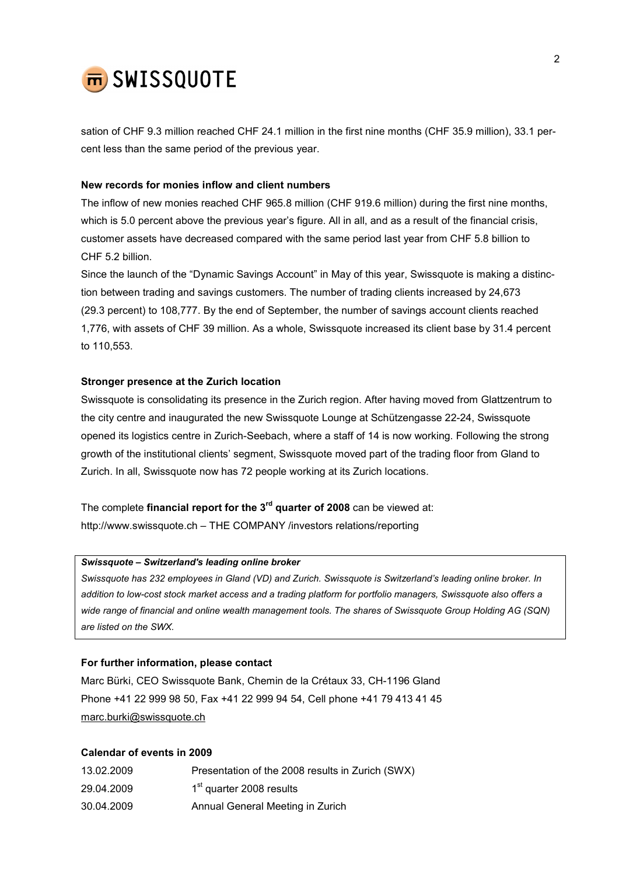

sation of CHF 9.3 million reached CHF 24.1 million in the first nine months (CHF 35.9 million), 33.1 percent less than the same period of the previous year.

#### New records for monies inflow and client numbers

The inflow of new monies reached CHF 965.8 million (CHF 919.6 million) during the first nine months, which is 5.0 percent above the previous year's figure. All in all, and as a result of the financial crisis, customer assets have decreased compared with the same period last year from CHF 5.8 billion to CHF 5.2 billion.

Since the launch of the "Dynamic Savings Account" in May of this year, Swissquote is making a distinction between trading and savings customers. The number of trading clients increased by 24,673 (29.3 percent) to 108,777. By the end of September, the number of savings account clients reached 1,776, with assets of CHF 39 million. As a whole, Swissquote increased its client base by 31.4 percent to 110,553.

### Stronger presence at the Zurich location

Swissquote is consolidating its presence in the Zurich region. After having moved from Glattzentrum to the city centre and inaugurated the new Swissquote Lounge at Schützengasse 22-24, Swissquote opened its logistics centre in Zurich-Seebach, where a staff of 14 is now working. Following the strong growth of the institutional clients' segment, Swissquote moved part of the trading floor from Gland to Zurich. In all, Swissquote now has 72 people working at its Zurich locations.

The complete financial report for the  $3<sup>rd</sup>$  quarter of 2008 can be viewed at: http://www.swissquote.ch – THE COMPANY /investors relations/reporting

## Swissquote – Switzerland's leading online broker

Swissquote has 232 employees in Gland (VD) and Zurich. Swissquote is Switzerland's leading online broker. In addition to low-cost stock market access and a trading platform for portfolio managers, Swissquote also offers a wide range of financial and online wealth management tools. The shares of Swissquote Group Holding AG (SQN) are listed on the SWX.

### For further information, please contact

Marc Bürki, CEO Swissquote Bank, Chemin de la Crétaux 33, CH-1196 Gland Phone +41 22 999 98 50, Fax +41 22 999 94 54, Cell phone +41 79 413 41 45 marc.burki@swissquote.ch

#### Calendar of events in 2009

| 13.02.2009 | Presentation of the 2008 results in Zurich (SWX) |
|------------|--------------------------------------------------|
| 29.04.2009 | 1 <sup>st</sup> quarter 2008 results             |
| 30.04.2009 | Annual General Meeting in Zurich                 |